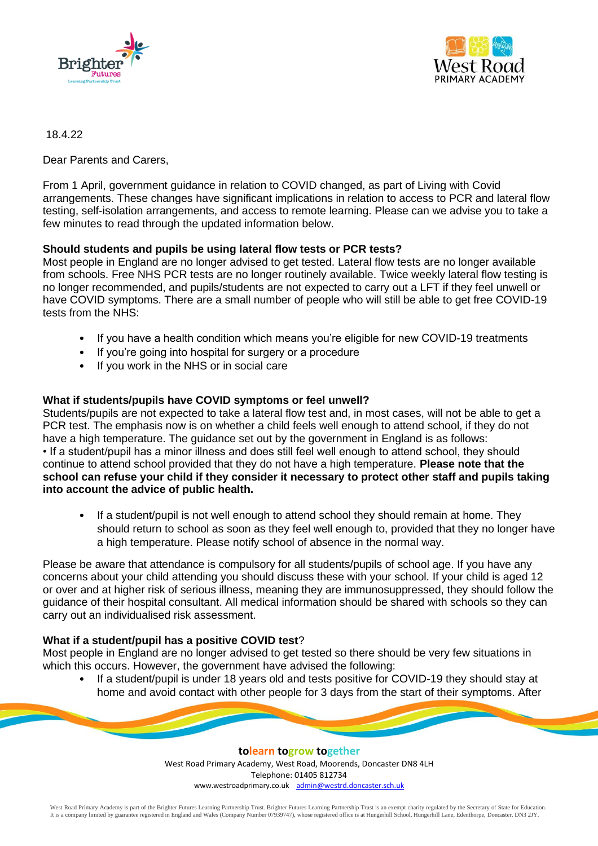



18.4.22

Dear Parents and Carers,

From 1 April, government guidance in relation to COVID changed, as part of Living with Covid arrangements. These changes have significant implications in relation to access to PCR and lateral flow testing, self-isolation arrangements, and access to remote learning. Please can we advise you to take a few minutes to read through the updated information below.

# **Should students and pupils be using lateral flow tests or PCR tests?**

Most people in England are no longer advised to get tested. Lateral flow tests are no longer available from schools. Free NHS PCR tests are no longer routinely available. Twice weekly lateral flow testing is no longer recommended, and pupils/students are not expected to carry out a LFT if they feel unwell or have COVID symptoms. There are a small number of people who will still be able to get free COVID-19 tests from the NHS:

- If you have a health condition which means you're eligible for new COVID-19 treatments
- If you're going into hospital for surgery or a procedure
- If you work in the NHS or in social care

### **What if students/pupils have COVID symptoms or feel unwell?**

Students/pupils are not expected to take a lateral flow test and, in most cases, will not be able to get a PCR test. The emphasis now is on whether a child feels well enough to attend school, if they do not have a high temperature. The guidance set out by the government in England is as follows: • If a student/pupil has a minor illness and does still feel well enough to attend school, they should continue to attend school provided that they do not have a high temperature. **Please note that the school can refuse your child if they consider it necessary to protect other staff and pupils taking into account the advice of public health.**

If a student/pupil is not well enough to attend school they should remain at home. They should return to school as soon as they feel well enough to, provided that they no longer have a high temperature. Please notify school of absence in the normal way.

Please be aware that attendance is compulsory for all students/pupils of school age. If you have any concerns about your child attending you should discuss these with your school. If your child is aged 12 or over and at higher risk of serious illness, meaning they are immunosuppressed, they should follow the guidance of their hospital consultant. All medical information should be shared with schools so they can carry out an individualised risk assessment.

# **What if a student/pupil has a positive COVID test**?

Most people in England are no longer advised to get tested so there should be very few situations in which this occurs. However, the government have advised the following:

• If a student/pupil is under 18 years old and tests positive for COVID-19 they should stay at home and avoid contact with other people for 3 days from the start of their symptoms. After

> **tolearn togrow together** West Road Primary Academy, West Road, Moorends, Doncaster DN8 4LH Telephone: 01405 812734 www.westroadprimary.co.uk [admin@westrd.doncaster.sch.uk](mailto:admin@westrd.doncaster.sch.uk)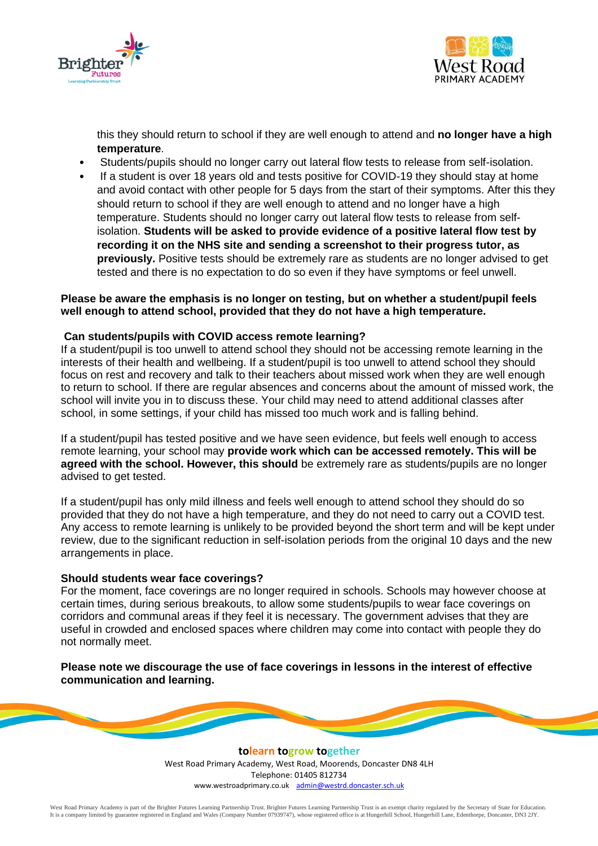



this they should return to school if they are well enough to attend and **no longer have a high temperature**.

- Students/pupils should no longer carry out lateral flow tests to release from self-isolation.
- If a student is over 18 years old and tests positive for COVID-19 they should stay at home and avoid contact with other people for 5 days from the start of their symptoms. After this they should return to school if they are well enough to attend and no longer have a high temperature. Students should no longer carry out lateral flow tests to release from selfisolation. **Students will be asked to provide evidence of a positive lateral flow test by recording it on the NHS site and sending a screenshot to their progress tutor, as previously.** Positive tests should be extremely rare as students are no longer advised to get tested and there is no expectation to do so even if they have symptoms or feel unwell.

### **Please be aware the emphasis is no longer on testing, but on whether a student/pupil feels well enough to attend school, provided that they do not have a high temperature.**

### **Can students/pupils with COVID access remote learning?**

If a student/pupil is too unwell to attend school they should not be accessing remote learning in the interests of their health and wellbeing. If a student/pupil is too unwell to attend school they should focus on rest and recovery and talk to their teachers about missed work when they are well enough to return to school. If there are regular absences and concerns about the amount of missed work, the school will invite you in to discuss these. Your child may need to attend additional classes after school, in some settings, if your child has missed too much work and is falling behind.

If a student/pupil has tested positive and we have seen evidence, but feels well enough to access remote learning, your school may **provide work which can be accessed remotely. This will be agreed with the school. However, this should** be extremely rare as students/pupils are no longer advised to get tested.

If a student/pupil has only mild illness and feels well enough to attend school they should do so provided that they do not have a high temperature, and they do not need to carry out a COVID test. Any access to remote learning is unlikely to be provided beyond the short term and will be kept under review, due to the significant reduction in self-isolation periods from the original 10 days and the new arrangements in place.

#### **Should students wear face coverings?**

For the moment, face coverings are no longer required in schools. Schools may however choose at certain times, during serious breakouts, to allow some students/pupils to wear face coverings on corridors and communal areas if they feel it is necessary. The government advises that they are useful in crowded and enclosed spaces where children may come into contact with people they do not normally meet.

**Please note we discourage the use of face coverings in lessons in the interest of effective communication and learning.** 

> **tolearn togrow together** West Road Primary Academy, West Road, Moorends, Doncaster DN8 4LH Telephone: 01405 812734 www.westroadprimary.co.uk [admin@westrd.doncaster.sch.uk](mailto:admin@westrd.doncaster.sch.uk)